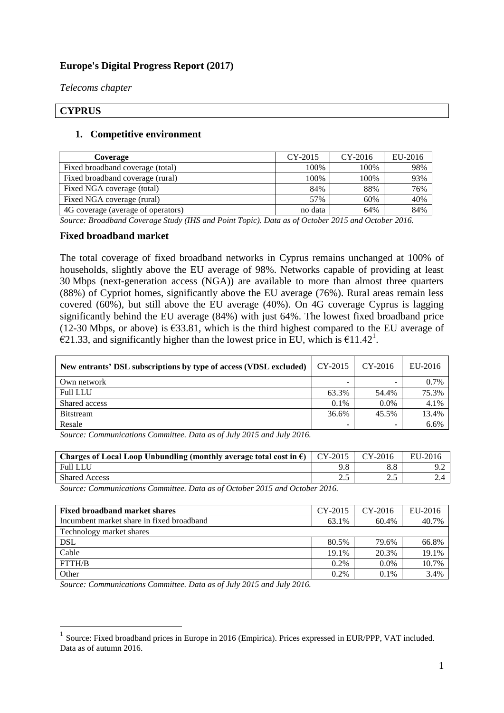## **Europe's Digital Progress Report (2017)**

*Telecoms chapter*

#### **CYPRUS**

<u>.</u>

#### **1. Competitive environment**

| <b>Coverage</b>                    | $CY-2015$ | $CY-2016$ | EU-2016 |
|------------------------------------|-----------|-----------|---------|
| Fixed broadband coverage (total)   | 100%      | 100%      | 98%     |
| Fixed broadband coverage (rural)   | 100%      | 100%      | 93%     |
| Fixed NGA coverage (total)         | 84%       | 88%       | 76%     |
| Fixed NGA coverage (rural)         | 57%       | 60%       | 40%     |
| 4G coverage (average of operators) | no data   | 64%       | 84%     |

*Source: Broadband Coverage Study (IHS and Point Topic). Data as of October 2015 and October 2016.*

#### **Fixed broadband market**

The total coverage of fixed broadband networks in Cyprus remains unchanged at 100% of households, slightly above the EU average of 98%. Networks capable of providing at least 30 Mbps (next-generation access (NGA)) are available to more than almost three quarters (88%) of Cypriot homes, significantly above the EU average (76%). Rural areas remain less covered (60%), but still above the EU average (40%). On 4G coverage Cyprus is lagging significantly behind the EU average (84%) with just 64%. The lowest fixed broadband price (12-30 Mbps, or above) is  $\epsilon$ 33.81, which is the third highest compared to the EU average of  $\epsilon$ 21.33, and significantly higher than the lowest price in EU, which is  $\epsilon$ 11.42<sup>1</sup>.

| New entrants' DSL subscriptions by type of access (VDSL excluded) | CY-2015 | $CY-2016$ | EU-2016 |
|-------------------------------------------------------------------|---------|-----------|---------|
| Own network                                                       |         |           | 0.7%    |
| <b>Full LLU</b>                                                   | 63.3%   | 54.4%     | 75.3%   |
| Shared access                                                     | $0.1\%$ | $0.0\%$   | 4.1%    |
| <b>Bitstream</b>                                                  | 36.6%   | 45.5%     | 13.4%   |
| Resale                                                            |         |           | 6.6%    |

*Source: Communications Committee. Data as of July 2015 and July 2016.*

| Charges of Local Loop Unbundling (monthly average total cost in $\epsilon$ )   CY-2015 |                   | $CY-2016$ | EU-2016 |
|----------------------------------------------------------------------------------------|-------------------|-----------|---------|
| <b>Full LLU</b>                                                                        |                   |           |         |
| <b>Shared Access</b>                                                                   | $\sim$ $\epsilon$ | ∠…        | ٠.      |

*Source: Communications Committee. Data as of October 2015 and October 2016.*

| <b>Fixed broadband market shares</b>      | CY-2015 | $CY-2016$ | EU-2016 |
|-------------------------------------------|---------|-----------|---------|
| Incumbent market share in fixed broadband | 63.1%   | 60.4%     | 40.7%   |
| Technology market shares                  |         |           |         |
| DSL                                       | 80.5%   | 79.6%     | 66.8%   |
| Cable                                     | 19.1%   | 20.3%     | 19.1%   |
| FTTH/B                                    | 0.2%    | $0.0\%$   | 10.7%   |
| Other                                     | 0.2%    | $0.1\%$   | 3.4%    |

*Source: Communications Committee. Data as of July 2015 and July 2016.*

<sup>&</sup>lt;sup>1</sup> Source: Fixed broadband prices in Europe in 2016 (Empirica). Prices expressed in EUR/PPP, VAT included. Data as of autumn 2016.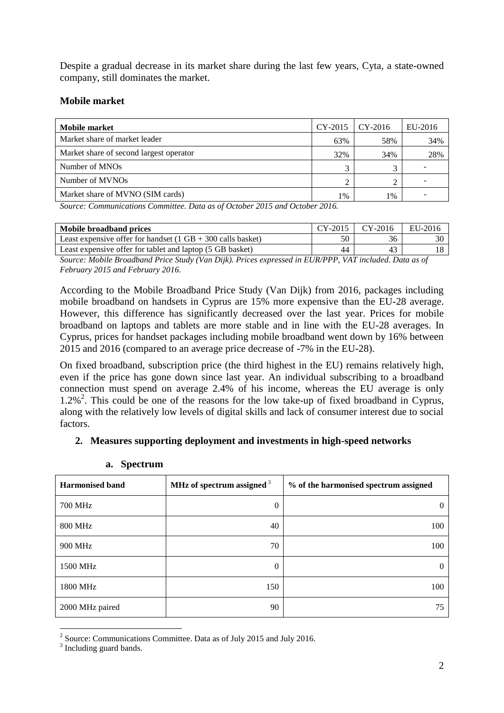Despite a gradual decrease in its market share during the last few years, Cyta, a state-owned company, still dominates the market.

#### **Mobile market**

| Mobile market                           | $CY-2015$    | $CY-2016$ | EU-2016 |
|-----------------------------------------|--------------|-----------|---------|
| Market share of market leader           | 63%          | 58%       | 34%     |
| Market share of second largest operator | 32%          | 34%       | 28%     |
| Number of MNOs                          | $\mathbf{r}$ |           |         |
| Number of MVNOs                         |              |           |         |
| Market share of MVNO (SIM cards)        | 1%           | 1%        |         |

*Source: Communications Committee. Data as of October 2015 and October 2016.*

| Mobile broadband prices                                                       | $CY-2015$ | CY-2016 | EU-2016 |
|-------------------------------------------------------------------------------|-----------|---------|---------|
| Least expensive offer for handset $(1 \text{ GB} + 300 \text{ calls basket})$ |           | 36      |         |
| Least expensive offer for tablet and laptop (5 GB basket)                     | 44        |         |         |

*Source: Mobile Broadband Price Study (Van Dijk). Prices expressed in EUR/PPP, VAT included. Data as of February 2015 and February 2016.*

According to the Mobile Broadband Price Study (Van Dijk) from 2016, packages including mobile broadband on handsets in Cyprus are 15% more expensive than the EU-28 average. However, this difference has significantly decreased over the last year. Prices for mobile broadband on laptops and tablets are more stable and in line with the EU-28 averages. In Cyprus, prices for handset packages including mobile broadband went down by 16% between 2015 and 2016 (compared to an average price decrease of -7% in the EU-28).

On fixed broadband, subscription price (the third highest in the EU) remains relatively high, even if the price has gone down since last year. An individual subscribing to a broadband connection must spend on average 2.4% of his income, whereas the EU average is only 1.2%<sup>2</sup>. This could be one of the reasons for the low take-up of fixed broadband in Cyprus, along with the relatively low levels of digital skills and lack of consumer interest due to social factors.

### **2. Measures supporting deployment and investments in high-speed networks**

| <b>Harmonised band</b> | MHz of spectrum assigned $3$ | % of the harmonised spectrum assigned |
|------------------------|------------------------------|---------------------------------------|
| <b>700 MHz</b>         | $\theta$                     | $\Omega$                              |
| <b>800 MHz</b>         | 40                           | 100                                   |
| 900 MHz                | 70                           | 100                                   |
| 1500 MHz               | $\theta$                     | $\Omega$                              |
| 1800 MHz               | 150                          | 100                                   |
| 2000 MHz paired        | 90                           | 75                                    |

#### **a. Spectrum**

<u>.</u>

<sup>&</sup>lt;sup>2</sup> Source: Communications Committee. Data as of July 2015 and July 2016.

 $3$  Including guard bands.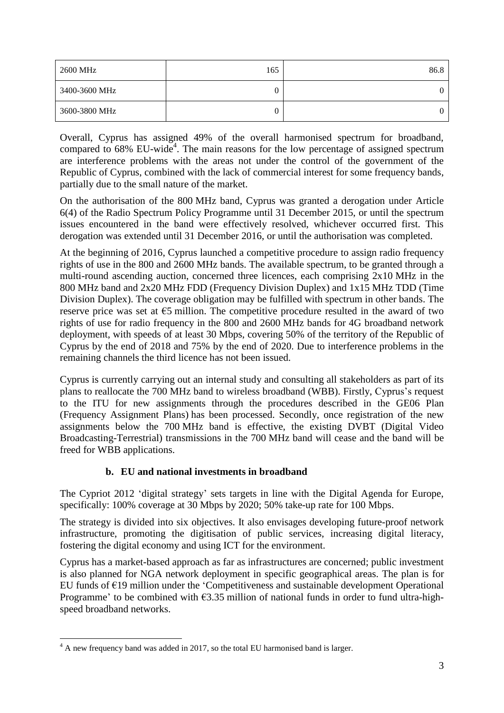| 2600 MHz      | 165 | 86.8 |
|---------------|-----|------|
| 3400-3600 MHz | 0   | 0    |
| 3600-3800 MHz | 0   | 0    |

Overall, Cyprus has assigned 49% of the overall harmonised spectrum for broadband, compared to  $68\%$  EU-wide<sup>4</sup>. The main reasons for the low percentage of assigned spectrum are interference problems with the areas not under the control of the government of the Republic of Cyprus, combined with the lack of commercial interest for some frequency bands, partially due to the small nature of the market.

On the authorisation of the 800 MHz band, Cyprus was granted a derogation under Article 6(4) of the Radio Spectrum Policy Programme until 31 December 2015, or until the spectrum issues encountered in the band were effectively resolved, whichever occurred first. This derogation was extended until 31 December 2016, or until the authorisation was completed.

At the beginning of 2016, Cyprus launched a competitive procedure to assign radio frequency rights of use in the 800 and 2600 MHz bands. The available spectrum, to be granted through a multi-round ascending auction, concerned three licences, each comprising  $2x10$  MHz in the 800 MHz band and 2x20 MHz FDD (Frequency Division Duplex) and 1x15 MHz TDD (Time Division Duplex). The coverage obligation may be fulfilled with spectrum in other bands. The reserve price was set at  $65$  million. The competitive procedure resulted in the award of two rights of use for radio frequency in the 800 and 2600 MHz bands for 4G broadband network deployment, with speeds of at least 30 Mbps, covering 50% of the territory of the Republic of Cyprus by the end of 2018 and 75% by the end of 2020. Due to interference problems in the remaining channels the third licence has not been issued.

Cyprus is currently carrying out an internal study and consulting all stakeholders as part of its plans to reallocate the 700 MHz band to wireless broadband (WBB). Firstly, Cyprus's request to the ITU for new assignments through the procedures described in the GE06 Plan (Frequency Assignment Plans) has been processed. Secondly, once registration of the new assignments below the 700 MHz band is effective, the existing DVBT (Digital Video Broadcasting-Terrestrial) transmissions in the 700 MHz band will cease and the band will be freed for WBB applications.

# **b. EU and national investments in broadband**

The Cypriot 2012 'digital strategy' sets targets in line with the Digital Agenda for Europe, specifically: 100% coverage at 30 Mbps by 2020; 50% take-up rate for 100 Mbps.

The strategy is divided into six objectives. It also envisages developing future-proof network infrastructure, promoting the digitisation of public services, increasing digital literacy, fostering the digital economy and using ICT for the environment.

Cyprus has a market-based approach as far as infrastructures are concerned; public investment is also planned for NGA network deployment in specific geographical areas. The plan is for EU funds of  $E19$  million under the 'Competitiveness and sustainable development Operational Programme' to be combined with  $\epsilon$ 3.35 million of national funds in order to fund ultra-highspeed broadband networks.

<sup>1</sup> <sup>4</sup> A new frequency band was added in 2017, so the total EU harmonised band is larger.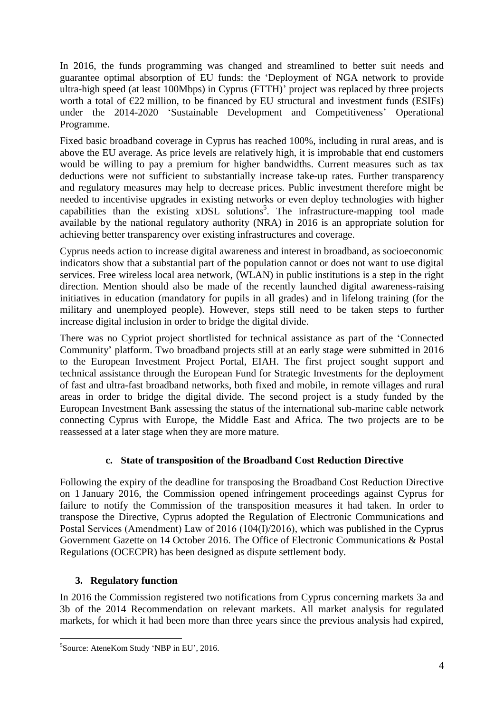In 2016, the funds programming was changed and streamlined to better suit needs and guarantee optimal absorption of EU funds: the 'Deployment of NGA network to provide ultra-high speed (at least 100Mbps) in Cyprus (FTTH)' project was replaced by three projects worth a total of  $E22$  million, to be financed by EU structural and investment funds (ESIFs) under the 2014-2020 'Sustainable Development and Competitiveness' Operational Programme.

Fixed basic broadband coverage in Cyprus has reached 100%, including in rural areas, and is above the EU average. As price levels are relatively high, it is improbable that end customers would be willing to pay a premium for higher bandwidths. Current measures such as tax deductions were not sufficient to substantially increase take-up rates. Further transparency and regulatory measures may help to decrease prices. Public investment therefore might be needed to incentivise upgrades in existing networks or even deploy technologies with higher capabilities than the existing  $x$ DSL solutions<sup>5</sup>. The infrastructure-mapping tool made available by the national regulatory authority (NRA) in 2016 is an appropriate solution for achieving better transparency over existing infrastructures and coverage.

Cyprus needs action to increase digital awareness and interest in broadband, as socioeconomic indicators show that a substantial part of the population cannot or does not want to use digital services. Free wireless local area network, (WLAN) in public institutions is a step in the right direction. Mention should also be made of the recently launched digital awareness-raising initiatives in education (mandatory for pupils in all grades) and in lifelong training (for the military and unemployed people). However, steps still need to be taken steps to further increase digital inclusion in order to bridge the digital divide.

There was no Cypriot project shortlisted for technical assistance as part of the 'Connected Community' platform. Two broadband projects still at an early stage were submitted in 2016 to the European Investment Project Portal, EIAH. The first project sought support and technical assistance through the European Fund for Strategic Investments for the deployment of fast and ultra-fast broadband networks, both fixed and mobile, in remote villages and rural areas in order to bridge the digital divide. The second project is a study funded by the European Investment Bank assessing the status of the international sub-marine cable network connecting Cyprus with Europe, the Middle East and Africa. The two projects are to be reassessed at a later stage when they are more mature.

# **c. State of transposition of the Broadband Cost Reduction Directive**

Following the expiry of the deadline for transposing the Broadband Cost Reduction Directive on 1 January 2016, the Commission opened infringement proceedings against Cyprus for failure to notify the Commission of the transposition measures it had taken. In order to transpose the Directive, Cyprus adopted the Regulation of Electronic Communications and Postal Services (Amendment) Law of 2016 (104(Ι)/2016), which was published in the Cyprus Government Gazette on 14 October 2016. The Office of Electronic Communications & Postal Regulations (OCECPR) has been designed as dispute settlement body.

## **3. Regulatory function**

1

In 2016 the Commission registered two notifications from Cyprus concerning markets 3a and 3b of the 2014 Recommendation on relevant markets. All market analysis for regulated markets, for which it had been more than three years since the previous analysis had expired,

<sup>&</sup>lt;sup>5</sup>Source: AteneKom Study 'NBP in EU', 2016.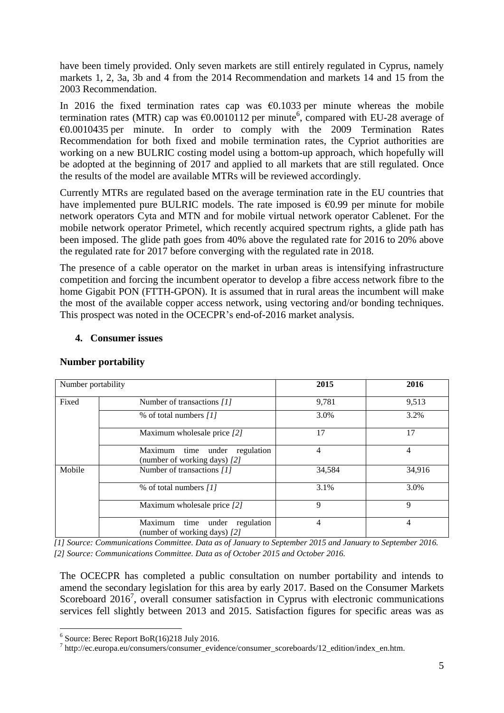have been timely provided. Only seven markets are still entirely regulated in Cyprus, namely markets 1, 2, 3a, 3b and 4 from the 2014 Recommendation and markets 14 and 15 from the 2003 Recommendation.

In 2016 the fixed termination rates cap was  $\epsilon$ 0.1033 per minute whereas the mobile termination rates (MTR) cap was  $\epsilon$ 0.0010112 per minute<sup>6</sup>, compared with EU-28 average of €0.0010435 per minute. In order to comply with the 2009 Termination Rates Recommendation for both fixed and mobile termination rates, the Cypriot authorities are working on a new BULRIC costing model using a bottom-up approach, which hopefully will be adopted at the beginning of 2017 and applied to all markets that are still regulated. Once the results of the model are available MTRs will be reviewed accordingly.

Currently MTRs are regulated based on the average termination rate in the EU countries that have implemented pure BULRIC models. The rate imposed is  $\epsilon$ 0.99 per minute for mobile network operators Cyta and MTN and for mobile virtual network operator Cablenet. For the mobile network operator Primetel, which recently acquired spectrum rights, a glide path has been imposed. The glide path goes from 40% above the regulated rate for 2016 to 20% above the regulated rate for 2017 before converging with the regulated rate in 2018.

The presence of a cable operator on the market in urban areas is intensifying infrastructure competition and forcing the incumbent operator to develop a fibre access network fibre to the home Gigabit PON (FTTH-GPON). It is assumed that in rural areas the incumbent will make the most of the available copper access network, using vectoring and/or bonding techniques. This prospect was noted in the OCECPR's end-of-2016 market analysis.

#### **4. Consumer issues**

| Number portability |                                                                     | 2015           | 2016   |
|--------------------|---------------------------------------------------------------------|----------------|--------|
| Fixed              | Number of transactions [1]                                          | 9,781          | 9,513  |
|                    | % of total numbers [1]                                              | 3.0%           | 3.2%   |
|                    | Maximum wholesale price [2]                                         | 17             | 17     |
|                    | Maximum time under regulation<br>(number of working days) [2]       | $\overline{4}$ | 4      |
| Mobile             | Number of transactions [1]                                          | 34,584         | 34,916 |
|                    | % of total numbers [1]                                              | 3.1%           | 3.0%   |
|                    | Maximum wholesale price [2]                                         | 9              | 9      |
|                    | time under<br>Maximum<br>regulation<br>(number of working days) [2] | 4              | 4      |

### **Number portability**

*[1] Source: Communications Committee. Data as of January to September 2015 and January to September 2016. [2] Source: Communications Committee. Data as of October 2015 and October 2016.*

The OCECPR has completed a public consultation on number portability and intends to amend the secondary legislation for this area by early 2017. Based on the Consumer Markets Scoreboard 2016<sup>7</sup>, overall consumer satisfaction in Cyprus with electronic communications services fell slightly between 2013 and 2015. Satisfaction figures for specific areas was as

<u>.</u>

<sup>&</sup>lt;sup>6</sup> Source: Berec Report BoR(16)218 July 2016.

<sup>7</sup> [http://ec.europa.eu/consumers/consumer\\_evidence/consumer\\_scoreboards/12\\_edition/index\\_en.htm.](http://ec.europa.eu/consumers/consumer_evidence/consumer_scoreboards/12_edition/index_en.htm)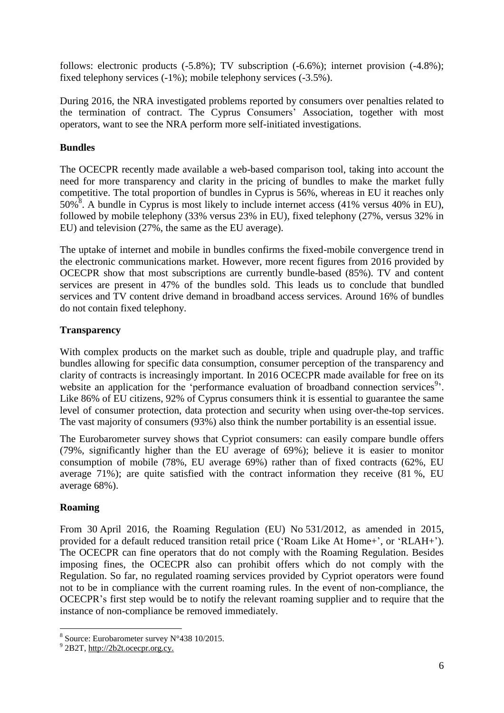follows: electronic products (-5.8%); TV subscription (-6.6%); internet provision (-4.8%); fixed telephony services (-1%); mobile telephony services (-3.5%).

During 2016, the NRA investigated problems reported by consumers over penalties related to the termination of contract. The Cyprus Consumers' Association, together with most operators, want to see the NRA perform more self-initiated investigations.

# **Bundles**

The OCECPR recently made available a web-based comparison tool, taking into account the need for more transparency and clarity in the pricing of bundles to make the market fully competitive. The total proportion of bundles in Cyprus is 56%, whereas in EU it reaches only  $50\%$ <sup>8</sup>. A bundle in Cyprus is most likely to include internet access (41% versus 40% in EU), followed by mobile telephony (33% versus 23% in EU), fixed telephony (27%, versus 32% in EU) and television (27%, the same as the EU average).

The uptake of internet and mobile in bundles confirms the fixed-mobile convergence trend in the electronic communications market. However, more recent figures from 2016 provided by OCECPR show that most subscriptions are currently bundle-based (85%). TV and content services are present in 47% of the bundles sold. This leads us to conclude that bundled services and TV content drive demand in broadband access services. Around 16% of bundles do not contain fixed telephony.

### **Transparency**

With complex products on the market such as double, triple and quadruple play, and traffic bundles allowing for specific data consumption, consumer perception of the transparency and clarity of contracts is increasingly important. In 2016 OCECPR made available for free on its website an application for the 'performance evaluation of broadband connection services<sup>9</sup>'. Like 86% of EU citizens, 92% of Cyprus consumers think it is essential to guarantee the same level of consumer protection, data protection and security when using over-the-top services. The vast majority of consumers (93%) also think the number portability is an essential issue.

The Eurobarometer survey shows that Cypriot consumers: can easily compare bundle offers (79%, significantly higher than the EU average of 69%); believe it is easier to monitor consumption of mobile (78%, EU average 69%) rather than of fixed contracts (62%, EU average 71%); are quite satisfied with the contract information they receive (81 %, EU average 68%).

### **Roaming**

<u>.</u>

From 30 April 2016, the Roaming Regulation (EU) No 531/2012, as amended in 2015, provided for a default reduced transition retail price ('Roam Like At Home+', or 'RLAH+'). The OCECPR can fine operators that do not comply with the Roaming Regulation. Besides imposing fines, the OCECPR also can prohibit offers which do not comply with the Regulation. So far, no regulated roaming services provided by Cypriot operators were found not to be in compliance with the current roaming rules. In the event of non-compliance, the OCECPR's first step would be to notify the relevant roaming supplier and to require that the instance of non-compliance be removed immediately.

<sup>8</sup> Source: Eurobarometer survey N°438 10/2015.

 $9^9$  2B2T, [http://2b2t.ocecpr.org.cy.](http://2b2t.ocecpr.org.cy/)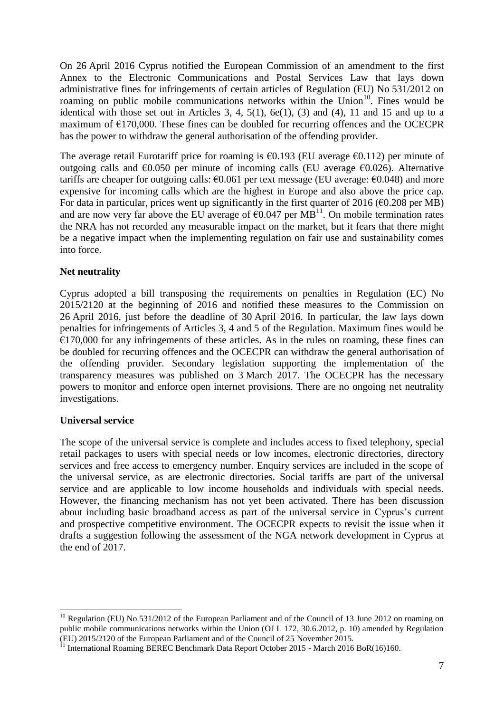On 26 April 2016 Cyprus notified the European Commission of an amendment to the first Annex to the Electronic Communications and Postal Services Law that lays down administrative fines for infringements of certain articles of Regulation (EU) No 531/2012 on roaming on public mobile communications networks within the Union<sup>10</sup>. Fines would be identical with those set out in Articles 3, 4,  $5(1)$ ,  $6e(1)$ ,  $(3)$  and  $(4)$ , 11 and 15 and up to a maximum of  $E170,000$ . These fines can be doubled for recurring offences and the OCECPR has the power to withdraw the general authorisation of the offending provider.

The average retail Eurotariff price for roaming is  $\epsilon$ 0.193 (EU average  $\epsilon$ 0.112) per minute of outgoing calls and  $\epsilon$ 0.050 per minute of incoming calls (EU average  $\epsilon$ 0.026). Alternative tariffs are cheaper for outgoing calls:  $\epsilon$ 0.061 per text message (EU average:  $\epsilon$ 0.048) and more expensive for incoming calls which are the highest in Europe and also above the price cap. For data in particular, prices went up significantly in the first quarter of 2016 ( $\epsilon$ 0.208 per MB) and are now very far above the EU average of  $60.047$  per MB<sup>11</sup>. On mobile termination rates the NRA has not recorded any measurable impact on the market, but it fears that there might be a negative impact when the implementing regulation on fair use and sustainability comes into force.

#### **Net neutrality**

Cyprus adopted a bill transposing the requirements on penalties in Regulation (EC) No 2015/2120 at the beginning of 2016 and notified these measures to the Commission on 26 April 2016, just before the deadline of 30 April 2016. In particular, the law lays down penalties for infringements of Articles 3, 4 and 5 of the Regulation. Maximum fines would be  $E170,000$  for any infringements of these articles. As in the rules on roaming, these fines can be doubled for recurring offences and the OCECPR can withdraw the general authorisation of the offending provider. Secondary legislation supporting the implementation of the transparency measures was published on 3 March 2017. The OCECPR has the necessary powers to monitor and enforce open internet provisions. There are no ongoing net neutrality investigations.

#### **Universal service**

1

The scope of the universal service is complete and includes access to fixed telephony, special retail packages to users with special needs or low incomes, electronic directories, directory services and free access to emergency number. Enquiry services are included in the scope of the universal service, as are electronic directories. Social tariffs are part of the universal service and are applicable to low income households and individuals with special needs. However, the financing mechanism has not yet been activated. There has been discussion about including basic broadband access as part of the universal service in Cyprus's current and prospective competitive environment. The OCECPR expects to revisit the issue when it drafts a suggestion following the assessment of the NGA network development in Cyprus at the end of 2017.

<sup>&</sup>lt;sup>10</sup> Regulation (EU) No 531/2012 of the European Parliament and of the Council of 13 June 2012 on roaming on public mobile communications networks within the Union (OJ L 172, 30.6.2012, p. 10) amended by Regulation (EU) 2015/2120 of the European Parliament and of the Council of 25 November 2015.

 $11$  International Roaming BEREC Benchmark Data Report October 2015 - March 2016 BoR(16)160.